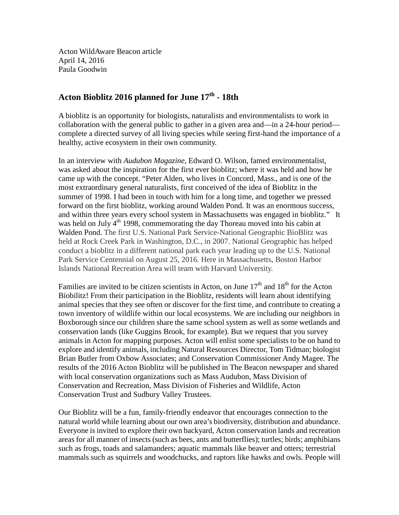Acton WildAware Beacon article April 14, 2016 Paula Goodwin

## **Acton Bioblitz 2016 planned for June 17th - 18th**

A bioblitz is an opportunity for biologists, naturalists and environmentalists to work in collaboration with the general public to gather in a given area and—in a 24-hour period complete a directed survey of all living species while seeing first-hand the importance of a healthy, active ecosystem in their own community.

In an interview with *Audubon Magazine*, Edward O. Wilson, famed environmentalist, was asked about the inspiration for the first ever bioblitz; where it was held and how he came up with the concept. "Peter Alden, who lives in Concord, Mass., and is one of the most extraordinary general naturalists, first conceived of the idea of Bioblitz in the summer of 1998. I had been in touch with him for a long time, and together we pressed forward on the first bioblitz, working around Walden Pond. It was an enormous success, and within three years every school system in Massachusetts was engaged in bioblitz." It was held on July 4<sup>th</sup> 1998, commemorating the day Thoreau moved into his cabin at Walden Pond. The first U.S. National Park Service-National Geographic BioBlitz was held at Rock Creek Park in Washington, D.C., in 2007. National Geographic has helped conduct a bioblitz in a different national park each year leading up to the U.S. National Park Service Centennial on August 25, 2016. Here in Massachusetts, Boston Harbor Islands National Recreation Area will team with Harvard University.

Families are invited to be citizen scientists in Acton, on June  $17<sup>th</sup>$  and  $18<sup>th</sup>$  for the Acton Biobilitz! From their participation in the Bioblitz, residents will learn about identifying animal species that they see often or discover for the first time, and contribute to creating a town inventory of wildlife within our local ecosystems. We are including our neighbors in Boxborough since our children share the same school system as well as some wetlands and conservation lands (like Guggins Brook, for example). But we request that you survey animals in Acton for mapping purposes. Acton will enlist some specialists to be on hand to explore and identify animals, including Natural Resources Director, Tom Tidman; biologist Brian Butler from Oxbow Associates; and Conservation Commissioner Andy Magee. The results of the 2016 Acton Bioblitz will be published in The Beacon newspaper and shared with local conservation organizations such as Mass Audubon, Mass Division of Conservation and Recreation, Mass Division of Fisheries and Wildlife, Acton Conservation Trust and Sudbury Valley Trustees.

Our Bioblitz will be a fun, family-friendly endeavor that encourages connection to the natural world while learning about our own area's biodiversity, distribution and abundance. Everyone is invited to explore their own backyard, Acton conservation lands and recreation areas for all manner of insects (such as bees, ants and butterflies); turtles; birds; amphibians such as frogs, toads and salamanders; aquatic mammals like beaver and otters; terrestrial mammals such as squirrels and woodchucks, and raptors like hawks and owls. People will